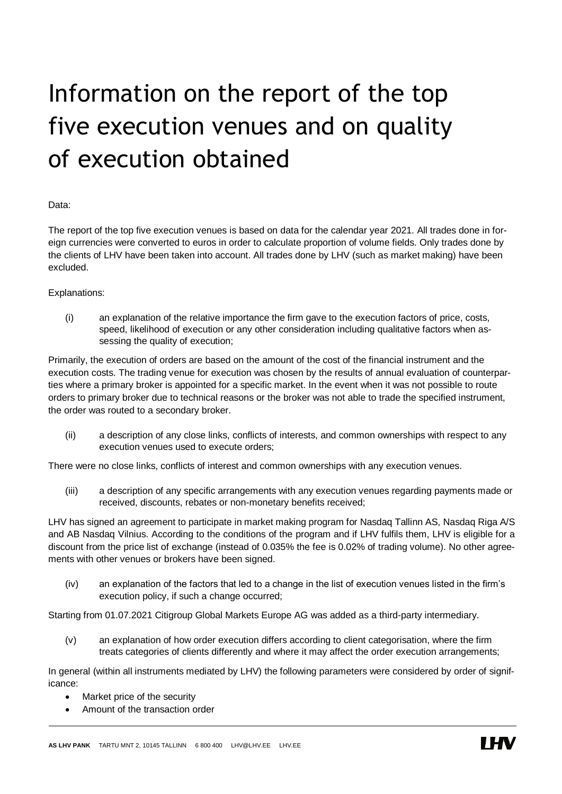## Information on the report of the top five execution venues and on quality of execution obtained

## Data:

The report of the top five execution venues is based on data for the calendar year 2021. All trades done in foreign currencies were converted to euros in order to calculate proportion of volume fields. Only trades done by the clients of LHV have been taken into account. All trades done by LHV (such as market making) have been excluded.

## Explanations:

(i) an explanation of the relative importance the firm gave to the execution factors of price, costs, speed, likelihood of execution or any other consideration including qualitative factors when assessing the quality of execution;

Primarily, the execution of orders are based on the amount of the cost of the financial instrument and the execution costs. The trading venue for execution was chosen by the results of annual evaluation of counterparties where a primary broker is appointed for a specific market. In the event when it was not possible to route orders to primary broker due to technical reasons or the broker was not able to trade the specified instrument, the order was routed to a secondary broker.

(ii) a description of any close links, conflicts of interests, and common ownerships with respect to any execution venues used to execute orders;

There were no close links, conflicts of interest and common ownerships with any execution venues.

(iii) a description of any specific arrangements with any execution venues regarding payments made or received, discounts, rebates or non-monetary benefits received;

LHV has signed an agreement to participate in market making program for Nasdaq Tallinn AS, Nasdaq Riga A/S and AB Nasdaq Vilnius. According to the conditions of the program and if LHV fulfils them, LHV is eligible for a discount from the price list of exchange (instead of 0.035% the fee is 0.02% of trading volume). No other agreements with other venues or brokers have been signed.

(iv) an explanation of the factors that led to a change in the list of execution venues listed in the firm's execution policy, if such a change occurred;

Starting from 01.07.2021 Citigroup Global Markets Europe AG was added as a third-party intermediary.

(v) an explanation of how order execution differs according to client categorisation, where the firm treats categories of clients differently and where it may affect the order execution arrangements;

In general (within all instruments mediated by LHV) the following parameters were considered by order of significance:

- Market price of the security
- Amount of the transaction order